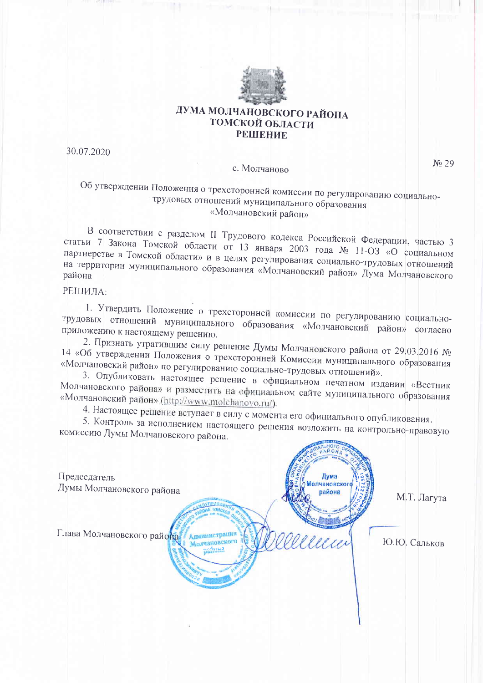

## ДУМА МОЛЧАНОВСКОГО РАЙОНА ТОМСКОЙ ОБЛАСТИ **РЕШЕНИЕ**

30.07.2020

### с. Молчаново

No 29

## Об утверждении Положения о трехсторонней комиссии по регулированию социальнотрудовых отношений муниципального образования «Молчановский район»

В соответствии с разделом II Трудового кодекса Российской Федерации, частью 3 статьи 7 Закона Томской области от 13 января 2003 года № 11-ОЗ «О социальном партнерстве в Томской области» и в целях регулирования социально-трудовых отношений на территории муниципального образования «Молчановский район» Дума Молчановского

### РЕШИЛА:

1. Утвердить Положение о трехсторонней комиссии по регулированию социальнотрудовых отношений муниципального образования «Молчановский район» согласно приложению к настоящему решению.

2. Признать утратившим силу решение Думы Молчановского района от 29.03.2016 № 14 «Об утверждении Положения о трехсторонней Комиссии муниципального образования «Молчановский район» по регулированию социально-трудовых отношений».

3. Опубликовать настоящее решение в официальном печатном издании «Вестник Молчановского района» и разместить на официальном сайте муниципального образования «Молчановский район» (http://www.molchanovo.ru/).

4. Настоящее решение вступает в силу с момента его официального опубликования.

5. Контроль за исполнением настоящего решения возложить на контрольно-правовую комиссию Думы Молчановского района. **HALLMAN** 

| Председатель               |                                                       | Дума                   |              |
|----------------------------|-------------------------------------------------------|------------------------|--------------|
| Думы Молчановского района  |                                                       | олчановского<br>района | М.Т. Лагута  |
| Глава Молчановского района | Администрация<br>Молчановского<br>nation <sub>2</sub> | ellecci                | Ю.Ю. Сальков |
|                            |                                                       |                        |              |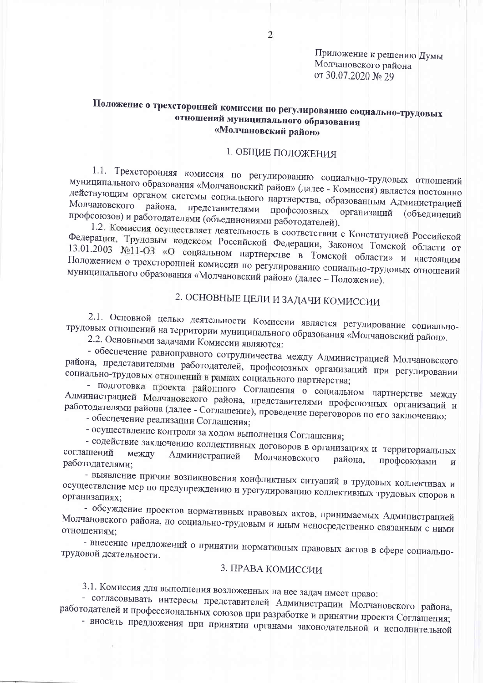Приложение к решению Думы Молчановского района от 30.07.2020 № 29

## Положение о трехсторонней комиссии по регулированию социально-трудовых отношений муниципального образования «Молчановский район»

## 1. ОБЩИЕ ПОЛОЖЕНИЯ

1.1. Трехсторонняя комиссия по регулированию социально-трудовых отношений муниципального образования «Молчановский район» (далее - Комиссия) является постоянно действующим органом системы социального партнерства, образованным Администрацией Молчановского района, представителями профсоюзных организаций профсоюзов) и работодателями (объединениями работодателей). **(объединений** 

1.2. Комиссия осуществляет деятельность в соответствии с Конституцией Российской Федерации, Трудовым кодексом Российской Федерации, Законом Томской области от 13.01.2003 №11-ОЗ «О социальном партнерстве в Томской области» и настоящим Положением о трехсторонней комиссии по регулированию социально-трудовых отношений муниципального образования «Молчановский район» (далее - Положение).

# 2. ОСНОВНЫЕ ЦЕЛИ И ЗАДАЧИ КОМИССИИ

2.1. Основной целью деятельности Комиссии является регулирование социальнотрудовых отношений на территории муниципального образования «Молчановский район».

2.2. Основными задачами Комиссии являются:

- обеспечение равноправного сотрудничества между Администрацией Молчановского района, представителями работодателей, профсоюзных организаций при регулировании социально-трудовых отношений в рамках социального партнерства;

- подготовка проекта районного Соглашения о социальном партнерстве между Администрацией Молчановского района, представителями профсоюзных организаций и работодателями района (далее - Соглашение), проведение переговоров по его заключению;

- обеспечение реализации Соглашения;

- осуществление контроля за ходом выполнения Соглашения;

- содействие заключению коллективных договоров в организациях и территориальных соглашений между Администрацией Молчановского района. профсоюзами работодателями;  $\overline{M}$ 

- выявление причин возникновения конфликтных ситуаций в трудовых коллективах и осуществление мер по предупреждению и урегулированию коллективных трудовых споров в организациях;

- обсуждение проектов нормативных правовых актов, принимаемых Администрацией Молчановского района, по социально-трудовым и иным непосредственно связанным с ними отношениям;

- внесение предложений о принятии нормативных правовых актов в сфере социальнотрудовой деятельности.

### 3. ПРАВА КОМИССИИ

3.1. Комиссия для выполнения возложенных на нее задач имеет право:

- согласовывать интересы представителей Администрации Молчановского района, работодателей и профессиональных союзов при разработке и принятии проекта Соглашения;

- вносить предложения при принятии органами законодательной и исполнительной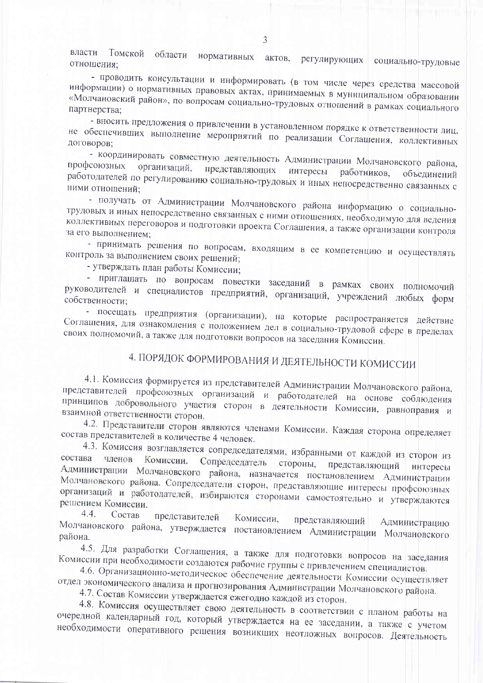Томской области нормативных актов, регулирующих власти социально-трудовые отношения;

- проводить консультации и информировать (в том числе через средства массовой информации) о нормативных правовых актах, принимаемых в муниципальном образовании «Молчановский район», по вопросам социально-трудовых отношений в рамках социального партнерства;

- вносить предложения о привлечении в установленном порядке к ответственности лиц, не обеспечивших выполнение мероприятий по реализации Соглашения, коллективных

- координировать совместную деятельность Администрации Молчановского района, профсоюзных организаций, представляющих интересы работников, работодателей по регулированию социально-трудовых и иных непосредственно связанных с объединений ними отношений:

- получать от Администрации Молчановского района информацию о социальнотрудовых и иных непосредственно связанных с ними отношениях, необходимую для ведения коллективных переговоров и подготовки проекта Соглашения, а также организации контроля за его выполнением;

- принимать решения по вопросам, входящим в ее компетенцию и осуществлять контроль за выполнением своих решений;

- утверждать план работы Комиссии;

- приглашать по вопросам повестки заседаний в рамках своих полномочий руководителей и специалистов предприятий, организаций, учреждений любых форм собственности;

- посещать предприятия (организации), на которые распространяется действие Соглашения, для ознакомления с положением дел в социально-трудовой сфере в пределах своих полномочий, а также для подготовки вопросов на заседания Комиссии.

# 4. ПОРЯДОК ФОРМИРОВАНИЯ И ДЕЯТЕЛЬНОСТИ КОМИССИИ

4.1. Комиссия формируется из представителей Администрации Молчановского района, представителей профсоюзных организаций и работодателей на основе соблюдения принципов добровольного участия сторон в деятельности Комиссии, равноправия и взаимной ответственности сторон.

4.2. Представители сторон являются членами Комиссии. Каждая сторона определяет состав представителей в количестве 4 человек.

4.3. Комиссия возглавляется сопредседателями, избранными от каждой из сторон из состава членов Сопредседатель стороны, Комиссии. представляющий Администрации Молчановского района, назначается постановлением Администрации Молчановского района. Сопредседатели сторон, представляющие интересы профсоюзных организаций и работодателей, избираются сторонами самостоятельно и утверждаются решением Комиссии.

 $4.4$ Состав представителей Комиссии, представляющий Администрацию Молчановского района, утверждается постановлением Администрации Молчановского района.

4.5. Для разработки Соглашения, а также для подготовки вопросов на заседания Комиссии при необходимости создаются рабочие группы с привлечением специалистов.

4.6. Организационно-методическое обеспечение деятельности Комиссии осуществляет отдел экономического анализа и прогнозирования Администрации Молчановского района.

4.7. Состав Комиссии утверждается ежегодно каждой из сторон.

4.8. Комиссия осуществляет свою деятельность в соответствии с планом работы на очередной календарный год, который утверждается на ее заседании, а также с учетом необходимости оперативного решения возникших неотложных вопросов. Деятельность